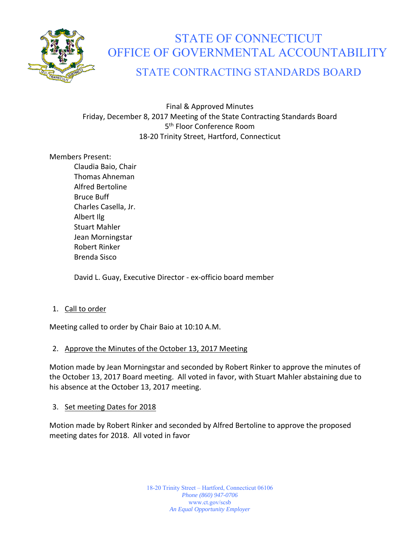

# STATE OF CONNECTICUT OFFICE OF GOVERNMENTAL ACCOUNTABILITY

# STATE CONTRACTING STANDARDS BOARD

Final & Approved Minutes Friday, December 8, 2017 Meeting of the State Contracting Standards Board 5<sup>th</sup> Floor Conference Room 18‐20 Trinity Street, Hartford, Connecticut

#### Members Present:

Claudia Baio, Chair Thomas Ahneman Alfred Bertoline Bruce Buff Charles Casella, Jr. Albert Ilg Stuart Mahler Jean Morningstar Robert Rinker Brenda Sisco

David L. Guay, Executive Director ‐ ex‐officio board member

# 1. Call to order

Meeting called to order by Chair Baio at 10:10 A.M.

#### 2. Approve the Minutes of the October 13, 2017 Meeting

Motion made by Jean Morningstar and seconded by Robert Rinker to approve the minutes of the October 13, 2017 Board meeting. All voted in favor, with Stuart Mahler abstaining due to his absence at the October 13, 2017 meeting.

#### 3. Set meeting Dates for 2018

Motion made by Robert Rinker and seconded by Alfred Bertoline to approve the proposed meeting dates for 2018. All voted in favor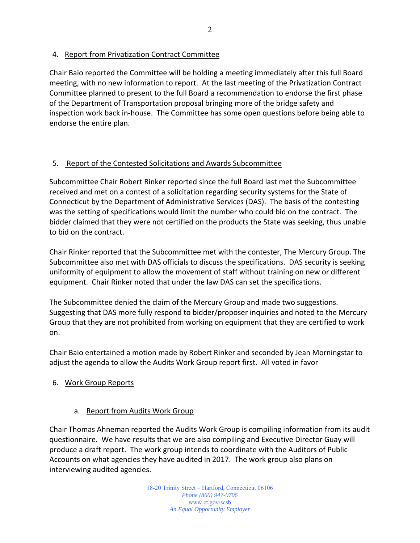4. Report from Privatization Contract Committee

Chair Baio reported the Committee will be holding a meeting immediately after this full Board meeting, with no new information to report. At the last meeting of the Privatization Contract Committee planned to present to the full Board a recommendation to endorse the first phase of the Department of Transportation proposal bringing more of the bridge safety and inspection work back in‐house. The Committee has some open questions before being able to endorse the entire plan.

# 5. Report of the Contested Solicitations and Awards Subcommittee

Subcommittee Chair Robert Rinker reported since the full Board last met the Subcommittee received and met on a contest of a solicitation regarding security systems for the State of Connecticut by the Department of Administrative Services (DAS). The basis of the contesting was the setting of specifications would limit the number who could bid on the contract. The bidder claimed that they were not certified on the products the State was seeking, thus unable to bid on the contract.

Chair Rinker reported that the Subcommittee met with the contester, The Mercury Group. The Subcommittee also met with DAS officials to discuss the specifications. DAS security is seeking uniformity of equipment to allow the movement of staff without training on new or different equipment. Chair Rinker noted that under the law DAS can set the specifications.

The Subcommittee denied the claim of the Mercury Group and made two suggestions. Suggesting that DAS more fully respond to bidder/proposer inquiries and noted to the Mercury Group that they are not prohibited from working on equipment that they are certified to work on.

Chair Baio entertained a motion made by Robert Rinker and seconded by Jean Morningstar to adjust the agenda to allow the Audits Work Group report first. All voted in favor

# 6. Work Group Reports

# a. Report from Audits Work Group

Chair Thomas Ahneman reported the Audits Work Group is compiling information from its audit questionnaire. We have results that we are also compiling and Executive Director Guay will produce a draft report. The work group intends to coordinate with the Auditors of Public Accounts on what agencies they have audited in 2017. The work group also plans on interviewing audited agencies.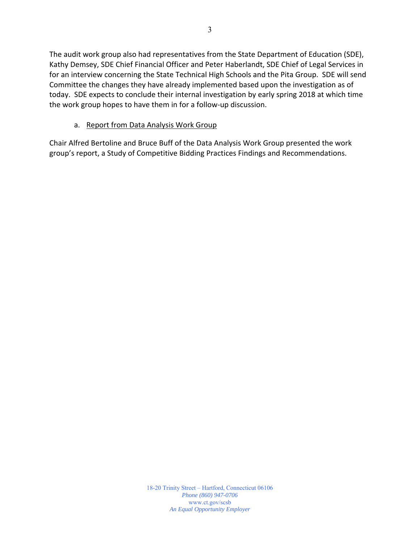The audit work group also had representatives from the State Department of Education (SDE), Kathy Demsey, SDE Chief Financial Officer and Peter Haberlandt, SDE Chief of Legal Services in for an interview concerning the State Technical High Schools and the Pita Group. SDE will send Committee the changes they have already implemented based upon the investigation as of today. SDE expects to conclude their internal investigation by early spring 2018 at which time the work group hopes to have them in for a follow‐up discussion.

# a. Report from Data Analysis Work Group

Chair Alfred Bertoline and Bruce Buff of the Data Analysis Work Group presented the work group's report, a Study of Competitive Bidding Practices Findings and Recommendations.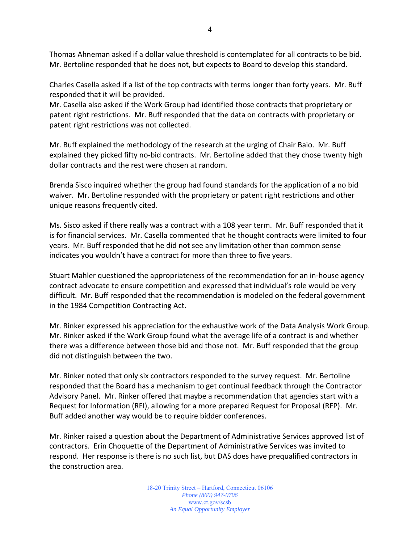Thomas Ahneman asked if a dollar value threshold is contemplated for all contracts to be bid. Mr. Bertoline responded that he does not, but expects to Board to develop this standard.

Charles Casella asked if a list of the top contracts with terms longer than forty years. Mr. Buff responded that it will be provided.

Mr. Casella also asked if the Work Group had identified those contracts that proprietary or patent right restrictions. Mr. Buff responded that the data on contracts with proprietary or patent right restrictions was not collected.

Mr. Buff explained the methodology of the research at the urging of Chair Baio. Mr. Buff explained they picked fifty no-bid contracts. Mr. Bertoline added that they chose twenty high dollar contracts and the rest were chosen at random.

Brenda Sisco inquired whether the group had found standards for the application of a no bid waiver. Mr. Bertoline responded with the proprietary or patent right restrictions and other unique reasons frequently cited.

Ms. Sisco asked if there really was a contract with a 108 year term. Mr. Buff responded that it is for financial services. Mr. Casella commented that he thought contracts were limited to four years. Mr. Buff responded that he did not see any limitation other than common sense indicates you wouldn't have a contract for more than three to five years.

Stuart Mahler questioned the appropriateness of the recommendation for an in‐house agency contract advocate to ensure competition and expressed that individual's role would be very difficult. Mr. Buff responded that the recommendation is modeled on the federal government in the 1984 Competition Contracting Act.

Mr. Rinker expressed his appreciation for the exhaustive work of the Data Analysis Work Group. Mr. Rinker asked if the Work Group found what the average life of a contract is and whether there was a difference between those bid and those not. Mr. Buff responded that the group did not distinguish between the two.

Mr. Rinker noted that only six contractors responded to the survey request. Mr. Bertoline responded that the Board has a mechanism to get continual feedback through the Contractor Advisory Panel. Mr. Rinker offered that maybe a recommendation that agencies start with a Request for Information (RFI), allowing for a more prepared Request for Proposal (RFP). Mr. Buff added another way would be to require bidder conferences.

Mr. Rinker raised a question about the Department of Administrative Services approved list of contractors. Erin Choquette of the Department of Administrative Services was invited to respond. Her response is there is no such list, but DAS does have prequalified contractors in the construction area.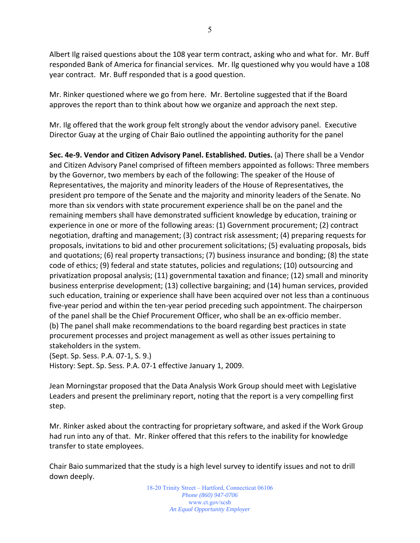Albert Ilg raised questions about the 108 year term contract, asking who and what for. Mr. Buff responded Bank of America for financial services. Mr. Ilg questioned why you would have a 108 year contract. Mr. Buff responded that is a good question.

Mr. Rinker questioned where we go from here. Mr. Bertoline suggested that if the Board approves the report than to think about how we organize and approach the next step.

Mr. Ilg offered that the work group felt strongly about the vendor advisory panel. Executive Director Guay at the urging of Chair Baio outlined the appointing authority for the panel

**Sec. 4e‐9. Vendor and Citizen Advisory Panel. Established. Duties.** (a) There shall be a Vendor and Citizen Advisory Panel comprised of fifteen members appointed as follows: Three members by the Governor, two members by each of the following: The speaker of the House of Representatives, the majority and minority leaders of the House of Representatives, the president pro tempore of the Senate and the majority and minority leaders of the Senate. No more than six vendors with state procurement experience shall be on the panel and the remaining members shall have demonstrated sufficient knowledge by education, training or experience in one or more of the following areas: (1) Government procurement; (2) contract negotiation, drafting and management; (3) contract risk assessment; (4) preparing requests for proposals, invitations to bid and other procurement solicitations; (5) evaluating proposals, bids and quotations; (6) real property transactions; (7) business insurance and bonding; (8) the state code of ethics; (9) federal and state statutes, policies and regulations; (10) outsourcing and privatization proposal analysis; (11) governmental taxation and finance; (12) small and minority business enterprise development; (13) collective bargaining; and (14) human services, provided such education, training or experience shall have been acquired over not less than a continuous five‐year period and within the ten‐year period preceding such appointment. The chairperson of the panel shall be the Chief Procurement Officer, who shall be an ex‐officio member. (b) The panel shall make recommendations to the board regarding best practices in state procurement processes and project management as well as other issues pertaining to stakeholders in the system.

(Sept. Sp. Sess. P.A. 07‐1, S. 9.)

History: Sept. Sp. Sess. P.A. 07‐1 effective January 1, 2009.

Jean Morningstar proposed that the Data Analysis Work Group should meet with Legislative Leaders and present the preliminary report, noting that the report is a very compelling first step.

Mr. Rinker asked about the contracting for proprietary software, and asked if the Work Group had run into any of that. Mr. Rinker offered that this refers to the inability for knowledge transfer to state employees.

Chair Baio summarized that the study is a high level survey to identify issues and not to drill down deeply.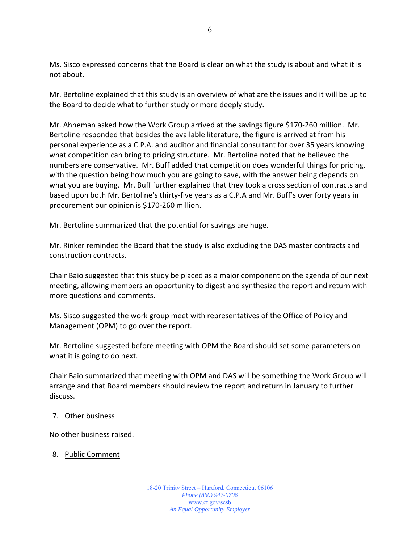Ms. Sisco expressed concerns that the Board is clear on what the study is about and what it is not about.

Mr. Bertoline explained that this study is an overview of what are the issues and it will be up to the Board to decide what to further study or more deeply study.

Mr. Ahneman asked how the Work Group arrived at the savings figure \$170‐260 million. Mr. Bertoline responded that besides the available literature, the figure is arrived at from his personal experience as a C.P.A. and auditor and financial consultant for over 35 years knowing what competition can bring to pricing structure. Mr. Bertoline noted that he believed the numbers are conservative. Mr. Buff added that competition does wonderful things for pricing, with the question being how much you are going to save, with the answer being depends on what you are buying. Mr. Buff further explained that they took a cross section of contracts and based upon both Mr. Bertoline's thirty‐five years as a C.P.A and Mr. Buff's over forty years in procurement our opinion is \$170‐260 million.

Mr. Bertoline summarized that the potential for savings are huge.

Mr. Rinker reminded the Board that the study is also excluding the DAS master contracts and construction contracts.

Chair Baio suggested that this study be placed as a major component on the agenda of our next meeting, allowing members an opportunity to digest and synthesize the report and return with more questions and comments.

Ms. Sisco suggested the work group meet with representatives of the Office of Policy and Management (OPM) to go over the report.

Mr. Bertoline suggested before meeting with OPM the Board should set some parameters on what it is going to do next.

Chair Baio summarized that meeting with OPM and DAS will be something the Work Group will arrange and that Board members should review the report and return in January to further discuss.

#### 7. Other business

No other business raised.

#### 8. Public Comment